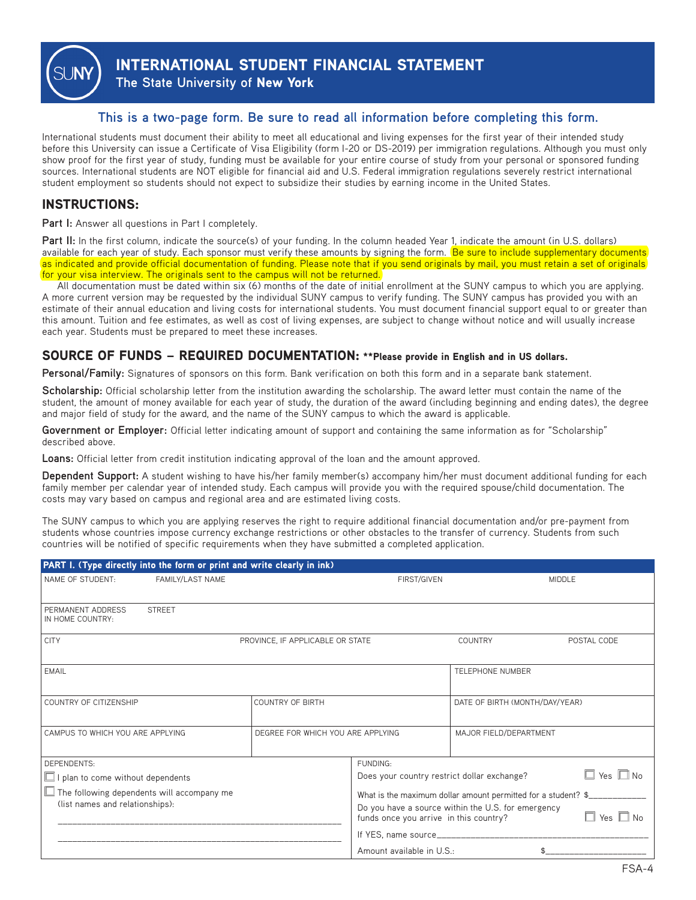

**INTERNATIONAL STUDENT FINANCIAL STATEMENT**

**The State University of New York**

### **This is a two-page form. Be sure to read all information before completing this form.**

International students must document their ability to meet all educational and living expenses for the first year of their intended study before this University can issue a Certificate of Visa Eligibility (form I-20 or DS-2019) per immigration regulations. Although you must only show proof for the first year of study, funding must be available for your entire course of study from your personal or sponsored funding sources. International students are NOT eligible for financial aid and U.S. Federal immigration regulations severely restrict international student employment so students should not expect to subsidize their studies by earning income in the United States.

## **INSTRUCTIONS:**

**Part I:** Answer all questions in Part I completely.

Part II: In the first column, indicate the source(s) of your funding. In the column headed Year 1, indicate the amount (in U.S. dollars) available for each year of study. Each sponsor must verify these amounts by signing the form. **Be sure to include supplementary documents** as indicated and provide official documentation of funding. Please note that if you send originals by mail, you must retain a set of originals for your visa interview. The originals sent to the campus will not be returned.

All documentation must be dated within six (6) months of the date of initial enrollment at the SUNY campus to which you are applying. A more current version may be requested by the individual SUNY campus to verify funding. The SUNY campus has provided you with an estimate of their annual education and living costs for international students. You must document financial support equal to or greater than this amount. Tuition and fee estimates, as well as cost of living expenses, are subject to change without notice and will usually increase each year. Students must be prepared to meet these increases.

#### **SOURCE OF FUNDS – REQUIRED DOCUMENTATION: \*\*Please provide in English and in US dollars.**

**Personal/Family:** Signatures of sponsors on this form. Bank verification on both this form and in a separate bank statement.

**Scholarship:** Official scholarship letter from the institution awarding the scholarship. The award letter must contain the name of the student, the amount of money available for each year of study, the duration of the award (including beginning and ending dates), the degree and major field of study for the award, and the name of the SUNY campus to which the award is applicable.

**Government or Employer:** Official letter indicating amount of support and containing the same information as for "Scholarship" described above.

**Loans:** Official letter from credit institution indicating approval of the loan and the amount approved.

**Dependent Support:** A student wishing to have his/her family member(s) accompany him/her must document additional funding for each family member per calendar year of intended study. Each campus will provide you with the required spouse/child documentation. The costs may vary based on campus and regional area and are estimated living costs.

The SUNY campus to which you are applying reserves the right to require additional financial documentation and/or pre-payment from students whose countries impose currency exchange restrictions or other obstacles to the transfer of currency. Students from such countries will be notified of specific requirements when they have submitted a completed application.

| PART I. (Type directly into the form or print and write clearly in ink)              |                                   |                                                                                              |                                |               |  |  |
|--------------------------------------------------------------------------------------|-----------------------------------|----------------------------------------------------------------------------------------------|--------------------------------|---------------|--|--|
| FAMILY/LAST NAME<br>NAME OF STUDENT:                                                 | <b>FIRST/GIVEN</b>                |                                                                                              | <b>MIDDLE</b>                  |               |  |  |
| PERMANENT ADDRESS<br><b>STREET</b><br>IN HOME COUNTRY:                               |                                   |                                                                                              |                                |               |  |  |
| <b>CITY</b>                                                                          | PROVINCE, IF APPLICABLE OR STATE  |                                                                                              | COUNTRY                        | POSTAL CODE   |  |  |
| <b>EMAIL</b>                                                                         |                                   |                                                                                              | <b>TELEPHONE NUMBER</b>        |               |  |  |
| COUNTRY OF CITIZENSHIP                                                               | <b>COUNTRY OF BIRTH</b>           |                                                                                              | DATE OF BIRTH (MONTH/DAY/YEAR) |               |  |  |
| CAMPUS TO WHICH YOU ARE APPLYING                                                     | DEGREE FOR WHICH YOU ARE APPLYING |                                                                                              | MAJOR FIELD/DEPARTMENT         |               |  |  |
| DEPENDENTS:                                                                          |                                   | FUNDING:                                                                                     |                                |               |  |  |
| $\Box$ I plan to come without dependents                                             |                                   | $\Box$ Yes $\Box$ No<br>Does your country restrict dollar exchange?                          |                                |               |  |  |
| $\Box$ The following dependents will accompany me<br>(list names and relationships): |                                   | What is the maximum dollar amount permitted for a student? \$_                               |                                |               |  |  |
|                                                                                      |                                   | Do you have a source within the U.S. for emergency<br>funds once you arrive in this country? |                                | Yes $\Box$ No |  |  |
|                                                                                      |                                   |                                                                                              |                                |               |  |  |
|                                                                                      |                                   | Amount available in U.S.:                                                                    |                                |               |  |  |